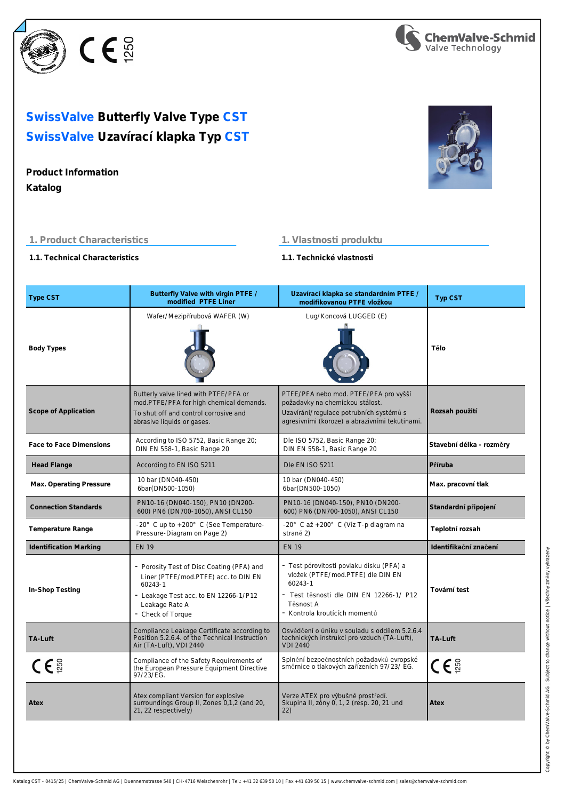

# **SwissValve Uzavírací klapka Typ CST SwissValve Butterfly Valve Type CST**

# **Product Information**

**Katalog**



# **1. Product Characteristics**

# **1. Vlastnosti produktu**

**1.1. Technical Characteristics**

**1.1. Technické vlastnosti**

| <b>Type CST</b>               | Butterfly Valve with virgin PTFE /<br>modified PTFE Liner                                                                                                                    | Uzavírací klapka se standardním PTFE /<br>modifikovanou PTFE vložkou                                                                                                              | Typ CST                  |
|-------------------------------|------------------------------------------------------------------------------------------------------------------------------------------------------------------------------|-----------------------------------------------------------------------------------------------------------------------------------------------------------------------------------|--------------------------|
| <b>Body Types</b>             | Wafer/Mezipřírubová WAFER (W)                                                                                                                                                | Lug/Koncová LUGGED (E)                                                                                                                                                            | Tělo                     |
| Scope of Application          | Butterly valve lined with PTFE/PFA or<br>mod.PTFE/PFA for high chemical demands.<br>To shut off and control corrosive and<br>abrasive liquids or gases.                      | PTFE/PFA nebo mod. PTFE/PFA pro vyšší<br>požadavky na chemickou stálost.<br>Uzavírání/regulace potrubních systémů s<br>agresivními (koroze) a abrazivními tekutinami.             | Rozsah použití           |
| Face to Face Dimensions       | According to ISO 5752, Basic Range 20;<br>DIN EN 558-1, Basic Range 20                                                                                                       | Dle ISO 5752, Basic Range 20;<br>DIN EN 558-1, Basic Range 20                                                                                                                     | Stavební délka - rozměry |
| <b>Head Flange</b>            | According to EN ISO 5211                                                                                                                                                     | Dle EN ISO 5211                                                                                                                                                                   | Příruba                  |
| Max. Operating Pressure       | 10 bar (DN040-450)<br>6bar(DN500-1050)                                                                                                                                       | 10 bar (DN040-450)<br>6bar(DN500-1050)                                                                                                                                            | Max. pracovní tlak       |
| <b>Connection Standards</b>   | PN10-16 (DN040-150), PN10 (DN200-<br>600) PN6 (DN700-1050), ANSI CL150                                                                                                       | PN10-16 (DN040-150), PN10 (DN200-<br>600) PN6 (DN700-1050), ANSI CL150                                                                                                            | Standardní připojení     |
| Temperature Range             | -20° C up to +200° C (See Temperature-<br>Pressure-Diagram on Page 2)                                                                                                        | -20° C až +200° C (Viz T-p diagram na<br>straně 2)                                                                                                                                | Teplotní rozsah          |
| <b>Identification Marking</b> | <b>EN 19</b>                                                                                                                                                                 | <b>EN 19</b>                                                                                                                                                                      | Identifikační značení    |
| In-Shop Testing               | - Porosity Test of Disc Coating (PFA) and<br>Liner (PTFE/mod.PTFE) acc. to DIN EN<br>60243-1<br>- Leakage Test acc. to EN 12266-1/P12<br>Leakage Rate A<br>- Check of Torque | - Test pórovitosti povlaku disku (PFA) a<br>vložek (PTFE/mod.PTFE) dle DIN EN<br>60243-1<br>- Test těsnosti dle DIN EN 12266-1/ P12<br>Těsnost A<br>- Kontrola kroutících momentů | Tovární test             |
| TA-Luft                       | Compliance Leakage Certificate according to<br>Position 5.2.6.4. of the Technical Instruction<br>Air (TA-Luft), VDI 2440                                                     | Osvědčení o úniku v souladu s oddílem 5.2.6.4<br>technických instrukcí pro vzduch (TA-Luft),<br><b>VDI 2440</b>                                                                   | TA-Luft                  |
| $C \in \frac{5}{2}$           | Compliance of the Safety Requirements of<br>the European Pressure Equipment Directive<br>97/23/EG.                                                                           | Splnění bezpečnostních požadavků evropské<br>směrnice o tlakových zařízeních 97/23/EG.                                                                                            | $C \varepsilon$          |
| Atex                          | Atex compliant Version for explosive<br>surroundings Group II, Zones 0,1,2 (and 20,<br>21, 22 respectively)                                                                  | Verze ATEX pro výbušné prostředí.<br>Skupina II, zóny 0, 1, 2 (resp. 20, 21 und<br>22)                                                                                            | Atex                     |
|                               |                                                                                                                                                                              |                                                                                                                                                                                   |                          |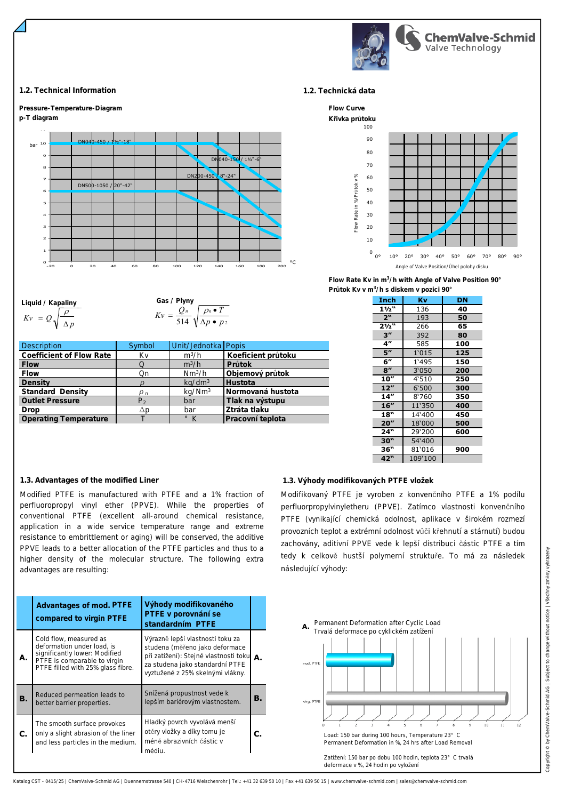

#### **1.2. Technical Information 1.2. Technická data**



**Liquid / Kapaliny**  $Kv = Q \sqrt{\frac{1}{\Delta p}}$ ρ

Gas / Plyny  

$$
Kv = \frac{Q_n}{514} \sqrt{\frac{\rho_n \bullet T}{\Delta p \bullet p_2}}
$$

| <b>Description</b>           | Symbol | Unit/Jednotka Popis |                    |
|------------------------------|--------|---------------------|--------------------|
| Coefficient of Flow Rate     | Kv     | $m^3/h$             | Koeficient průtoku |
| Flow                         |        | $m^3/h$             | Průtok             |
| Flow                         | Qn     | Nm <sup>3</sup> /h  | Objemový průtok    |
| Density                      |        | kq/dm <sup>3</sup>  | <b>Hustota</b>     |
| Standard Density             |        | kq/Nm <sup>3</sup>  | Normovaná hustota  |
| <b>Outlet Pressure</b>       | P,     | bar                 | Tlak na výstupu    |
| Drop                         | Δp     | bar                 | Ztráta tlaku       |
| <b>Operating Temperature</b> |        | $\circ$ K           | Pracovní teplota   |



**Průtok Kv v m<sup>3</sup> /h s diskem v pozici 90° Flow Rate Kv in m<sup>3</sup> /h with Angle of Valve Position 90°**

| Inch               | Κv      | DN  |
|--------------------|---------|-----|
| $1\frac{1}{2}$     | 136     | 40  |
| 2"                 | 193     | 50  |
| 21/2"              | 266     | 65  |
| $3^{\prime\prime}$ | 392     | 80  |
| 4 <sup>1</sup>     | 585     | 100 |
| 5''                | 1'015   | 125 |
| 6"                 | 1'495   | 150 |
| 8''                | 3'050   | 200 |
| 10''               | 4'510   | 250 |
| 12"                | 6'500   | 300 |
| 14"                | 8'760   | 350 |
| 16"                | 11'350  | 400 |
| 18"                | 14'400  | 450 |
| 20''               | 18'000  | 500 |
| 24"                | 29'200  | 600 |
| 30"                | 54'400  |     |
| 36"                | 81'016  | 900 |
| 42"                | 109'100 |     |

#### **1.3. Advantages of the modified Liner 1.3. Výhody modifikovaných PTFE vložek**

Modified PTFE is manufactured with PTFE and a 1% fraction of perfluoropropyl vinyl ether (PPVE). While the properties of conventional PTFE (excellent all-around chemical resistance, application in a wide service temperature range and extreme resistance to embrittlement or aging) will be conserved, the additive PPVE leads to a better allocation of the PTFE particles and thus to a higher density of the molecular structure. The following extra advantages are resulting:

|    | Advantages of mod. PTFE<br>compared to virgin PTFE                                                                                                         | Výhody modifikovaného<br>PTFE v porovnání se<br>standardním PTFE                                                                                                                      |    |
|----|------------------------------------------------------------------------------------------------------------------------------------------------------------|---------------------------------------------------------------------------------------------------------------------------------------------------------------------------------------|----|
| А. | Cold flow, measured as<br>deformation under load, is<br>significantly lower: Modified<br>PTFE is comparable to virgin<br>PTFE filled with 25% glass fibre. | Výrazně lepší vlastnosti toku za<br>studena (měřeno jako deformace<br>při zatížení): Stejné vlastnosti toku A.<br>za studena jako standardní PTFE<br>vyztužené z 25% skelnými vlákny. |    |
| В. | Reduced permeation leads to<br>better barrier properties.                                                                                                  | Snížená propustnost vede k<br>lepším bariérovým vlastnostem.                                                                                                                          | В. |
|    | The smooth surface provokes<br>only a slight abrasion of the liner<br>and less particles in the medium.                                                    | Hladký povrch vyvolává menší<br>otěry vložky a díky tomu je<br>méně abrazivních částic v<br>médiu.                                                                                    | С. |

Modifikovaný PTFE je vyroben z konvenčního PTFE a 1% podílu perfluorpropylvinyletheru (PPVE). Zatímco vlastnosti konvenčního PTFE (vynikající chemická odolnost, aplikace v širokém rozmezí provozních teplot a extrémní odolnost vůči křehnutí a stárnutí) budou zachovány, aditivní PPVE vede k lepší distribuci částic PTFE a tím tedy k celkově hustší polymerní struktuře. To má za následek následující výhody:

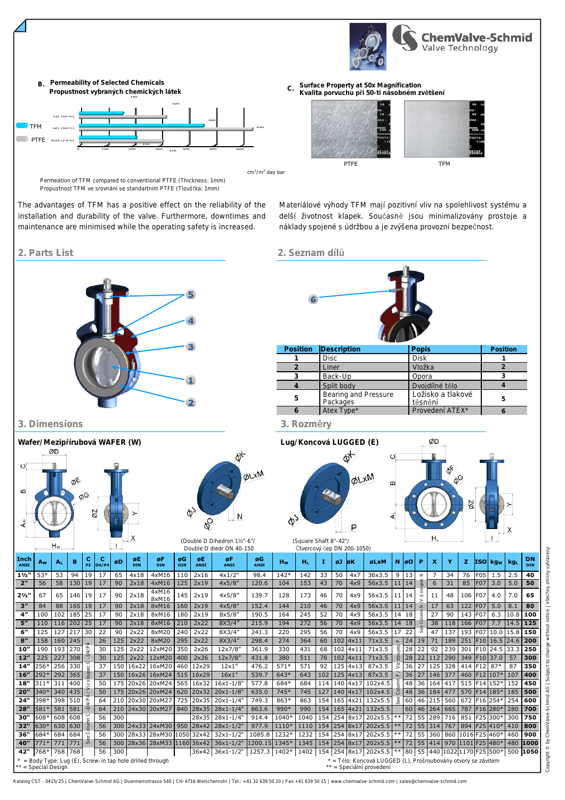



cm<sup>3</sup>/m<sup>2</sup> day bar

Propustnost TFM ve srovnání se standartním PTFE (Tloušťka: 1mm) Permeation of TFM compared to conventional PTFE (Thickness: 1mm)

The advantages of TFM has a positive effect on the reliability of the installation and durability of the valve. Furthermore, downtimes and maintenance are minimised while the operating safety is increased.

Materiálové výhody TFM mají pozitivní vliv na spolehlivost systému a delší životnost klapek. Současně jsou minimalizovány prostoje a náklady spojené s údržbou a je zvýšena provozní bezpečnost.

PTFE TFM

**C. Surface Property at 50x Magnification**

**Kvalita porvuchu při 50-ti násobném zvětšení**

# **2. Parts List 2. Seznam dílů**

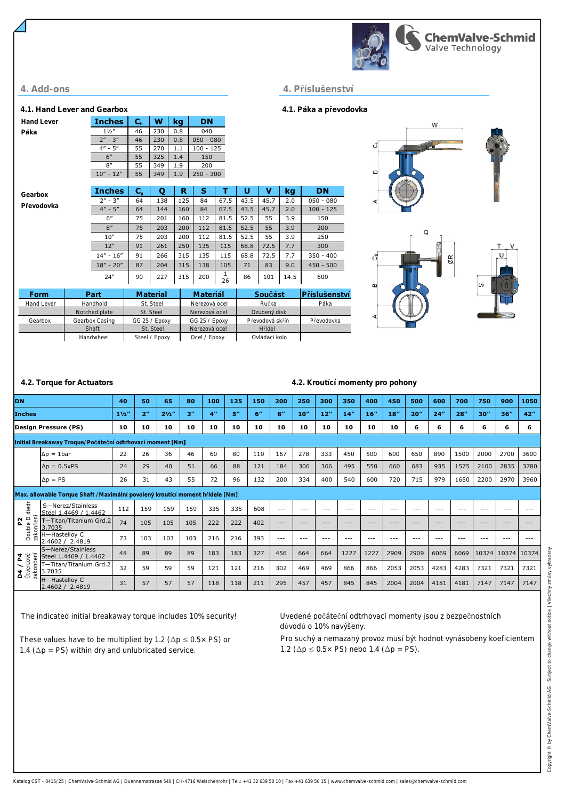

## **4. Add-ons 4. Příslušenství**

**Hand Lever Páka**

**Gearbox Převodovka**

### **4.1. Hand Lever and Gearbox 4.1. Páka a převodovka**





|  | .2. Torque for Actuators |  |
|--|--------------------------|--|

## **4.2. Torque for Actuators 4.2. Kroutící momenty pro pohony**

| DN                                                        |                                                                               | 40     | 50             | 65             | 80  | 100            | 125 | 150 | 200     | 250     | 300              | 350     | 400     | 450                 | 500     | 600     | 700     | 750   | 900         | 1050    |
|-----------------------------------------------------------|-------------------------------------------------------------------------------|--------|----------------|----------------|-----|----------------|-----|-----|---------|---------|------------------|---------|---------|---------------------|---------|---------|---------|-------|-------------|---------|
| <b>Inches</b>                                             |                                                                               | 11/2'' | 2 <sup>n</sup> | $2\frac{1}{2}$ | 3'' | 4 <sup>n</sup> | 5'' | 6"  | 8''     | 10''    | 12 <sup>''</sup> | 14"     | 16''    | $18^{\prime\prime}$ | 20''    | 24"     | 28"     | 30''  | 36''        | 42"     |
|                                                           | <b>Design Pressure (PS)</b>                                                   | 10     | 10             | 10             | 10  | 10             | 10  | 10  | 10      | 10      | 10               | 10      | 10      | 10                  | 6       | 6       | 6       | 6     | 6           | 6       |
| Initial Breakaway Troque/Počáteční odtrhovací moment [Nm] |                                                                               |        |                |                |     |                |     |     |         |         |                  |         |         |                     |         |         |         |       |             |         |
|                                                           | $\Delta p = 1$ bar                                                            | 22     | 26             | 36             | 46  | 60             | 80  | 110 | 167     | 278     | 333              | 450     | 500     | 600                 | 650     | 890     | 1500    | 2000  | 2700        | 3600    |
|                                                           | $\Delta p = 0.5xPS$                                                           | 24     | 29             | 40             | 51  | 66             | 88  | 121 | 184     | 306     | 366              | 495     | 550     | 660                 | 683     | 935     | 1575    | 2100  | 2835        | 3780    |
|                                                           | $\Delta p = PS$                                                               | 26     | 31             | 43             | 55  | 72             | 96  | 132 | 200     | 334     | 400              | 540     | 600     | 720                 | 715     | 979     | 1650    | 2200  | 2970        | 3960    |
|                                                           | Max. allowable Torque Shaft / Maximální povolený kroutící moment hřídele [Nm] |        |                |                |     |                |     |     |         |         |                  |         |         |                     |         |         |         |       |             |         |
| diedr                                                     | S-Nerez/Stainless<br>Steel 1.4469 / 1.4462                                    | 112    | 159            | 159            | 159 | 335            | 335 | 608 | $---$   | $- - -$ | $--$             | $- - -$ | $- - -$ | $- - -$             | $- - -$ | $- - -$ | $- - -$ | $---$ | $- - -$     | $- - -$ |
| zakončení<br>Double D<br>52                               | T-Titan/Titanium Grd.2<br>3.7035                                              | 74     | 105            | 105            | 105 | 222            | 222 | 402 | $---$   | $- - -$ | $- - -$          | $- - -$ | $- - -$ | $---$               | $- - -$ | $- - -$ | $- - -$ | $---$ | $---$       | $- - -$ |
|                                                           | H-Hastelloy C<br>2.4602 / 2.4819                                              | 73     | 103            | 103            | 103 | 216            | 216 | 393 | $- - -$ | $- - -$ | $---$            | $- - -$ | ---     | $- - -$             | $- - -$ | $---$   | $- - -$ | ---   | $- - -$     | $- - -$ |
| $\overline{a}$                                            | S-Nerez/Stainless<br>Steel 1.4469 / 1.4462                                    | 48     | 89             | 89             | 89  | 183            | 183 | 327 | 456     | 664     | 664              | 1227    | 1227    | 2909                | 2909    | 6069    | 6069    | 10374 | 10374 10374 |         |
| utvercové<br>zakončení<br>$\frac{1}{2}$                   | T—Titan/Titanium Grd.2<br>3.7035                                              | 32     | 59             | 59             | 59  | 121            | 121 | 216 | 302     | 469     | 469              | 866     | 866     | 2053                | 2053    | 4283    | 4283    | 7321  | 7321        | 7321    |
|                                                           | H-Hastelloy C<br>2.4602 / 2.4819                                              | 31     | 57             | 57             | 57  | 118            | 118 | 211 | 295     | 457     | 457              | 845     | 845     | 2004                | 2004    | 4181    | 4181    | 7147  | 7147        | 7147    |

The indicated initial breakaway torque includes 10% security! Uvedené počáteční odtrhovací momenty jsou z bezpečnostních

**Form Part Material Materiál Součást Příslušenství** Hand Lever Handhold St. Steel Nerezová ocel Ručka Páka

24" 90 227 315 200 <sup>1</sup>

349 1.9 200

**Inches C<sup>h</sup> W kg DN**  $\frac{1\frac{1}{2}''}{1\frac{1}{2}''}$  46 230 0.8 040<br> $\frac{1\frac{1}{2}''}{1\frac{1}{2}''}$  46 230 0.8 050 0  $2" - 3"$  46 230 0.8 050 - 080  $4" - 5"$  55 270 1.1 100 - 125 6" 55 325 1.4 150<br>8" 55 349 1.9 200

 $10" - 12"$  55 349 1.9 250 - 300

Gearbox Gearbox Casing GG 25 / Epoxy GG 25 / Epoxy Převodová skříň Převodovka Shaft | St. Steel | Nerezová ocel | Hřídel Handwheel Steel / Epoxy Ocel / Epoxy Ovládací kolo

St. Steel Nerezová ocel Ozubený disk

87 204 315 138 105 71 83 9.0 450 - 500

 $\frac{1}{26}$  86 101 14.5 600

**Inches C<sup>g</sup> Q R S T U V kg DN** 2" - 3" 64 138 125 84 67.5 43.5 45.7 2.0 050 - 080  $4" - 5"$  64 144 160 84 67.5 43.5 45.7 2.0 100 - 125 6" | 75 | 201 | 160 | 112 | 81.5 | 52.5 | 55 | 3.9 | 150 8" | 75 | 203 | 200 | 112 | 81.5 | 52.5 | 55 | 3.9 | 200 10" | 75 | 203 | 200 | 112 | 81.5 | 52.5 | 55 | 3.9 | 250 12" 91 261 250 135 115 68.8 72.5 7.7 300 14" - 16" 91 266 315 135 115 68.8 72.5 7.7 350 - 400<br>18" - 20" 87 204 315 138 105 71 83 9.0 450 - 500

These values have to be multiplied by 1.2 ( $\Delta p \le 0.5 \times PS$ ) or 1.4 ( $\Delta p$  = PS) within dry and unlubricated service.

důvodů o 10% navýšeny.

Pro suchý a nemazaný provoz musí být hodnot vynásobeny koeficientem 1.2 ( $\Delta p \le 0.5 \times PS$ ) nebo 1.4 ( $\Delta p = PS$ ).